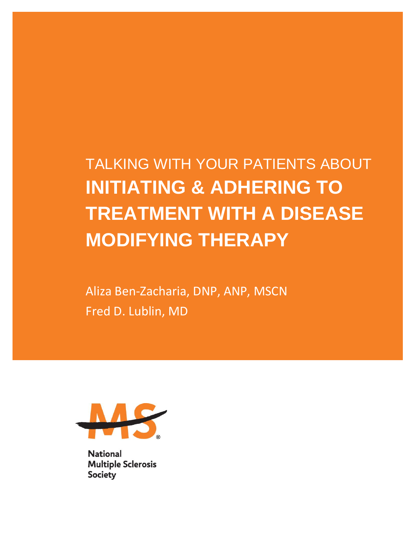TALKING WITH YOUR PATIENTS ABOUT **INITIATING & ADHERING TO TREATMENT WITH A DISEASE MODIFYING THERAPY**

Aliza Ben-Zacharia, DNP, ANP, MSCN Fred D. Lublin, MD



**National Multiple Sclerosis Society**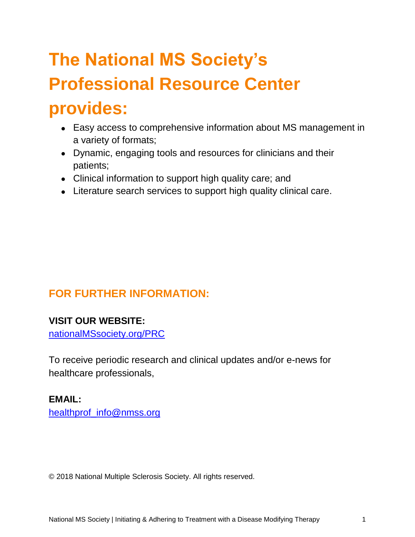# **The National MS Society's Professional Resource Center provides:**

- Easy access to comprehensive information about MS management in a variety of formats;
- Dynamic, engaging tools and resources for clinicians and their patients;
- Clinical information to support high quality care; and
- Literature search services to support high quality clinical care.

# **FOR FURTHER INFORMATION:**

# **VISIT OUR WEBSITE:**

[nationalMSsociety.org/PRC](http://www.nationalmssociety.org/prc)

To receive periodic research and clinical updates and/or e-news for healthcare professionals,

# **EMAIL:**

[healthprof\\_info@nmss.org](mailto:healthprof_info@nmss.org)

© 2018 National Multiple Sclerosis Society. All rights reserved.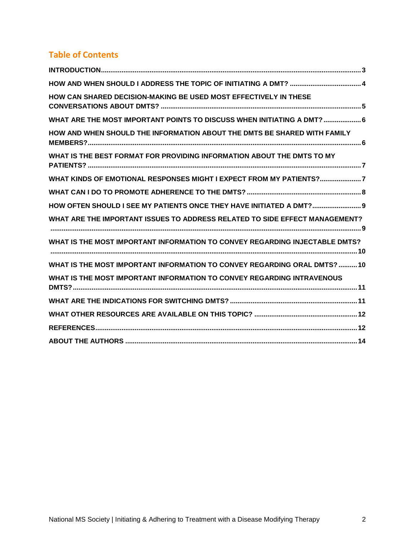# **Table of Contents**

| HOW CAN SHARED DECISION-MAKING BE USED MOST EFFECTIVELY IN THESE            |
|-----------------------------------------------------------------------------|
| WHAT ARE THE MOST IMPORTANT POINTS TO DISCUSS WHEN INITIATING A DMT?  6     |
| HOW AND WHEN SHOULD THE INFORMATION ABOUT THE DMTS BE SHARED WITH FAMILY    |
| WHAT IS THE BEST FORMAT FOR PROVIDING INFORMATION ABOUT THE DMTS TO MY      |
| WHAT KINDS OF EMOTIONAL RESPONSES MIGHT I EXPECT FROM MY PATIENTS?7         |
|                                                                             |
| HOW OFTEN SHOULD I SEE MY PATIENTS ONCE THEY HAVE INITIATED A DMT? 9        |
| WHAT ARE THE IMPORTANT ISSUES TO ADDRESS RELATED TO SIDE EFFECT MANAGEMENT? |
| WHAT IS THE MOST IMPORTANT INFORMATION TO CONVEY REGARDING INJECTABLE DMTS? |
| WHAT IS THE MOST IMPORTANT INFORMATION TO CONVEY REGARDING ORAL DMTS? 10    |
| WHAT IS THE MOST IMPORTANT INFORMATION TO CONVEY REGARDING INTRAVENOUS      |
|                                                                             |
|                                                                             |
|                                                                             |
|                                                                             |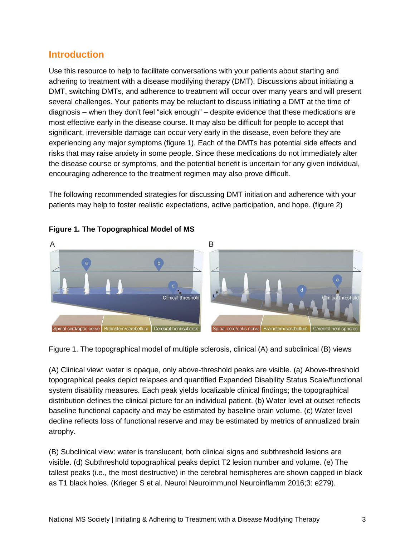## <span id="page-3-0"></span>**Introduction**

Use this resource to help to facilitate conversations with your patients about starting and adhering to treatment with a disease modifying therapy (DMT). Discussions about initiating a DMT, switching DMTs, and adherence to treatment will occur over many years and will present several challenges. Your patients may be reluctant to discuss initiating a DMT at the time of diagnosis – when they don't feel "sick enough" – despite evidence that these medications are most effective early in the disease course. It may also be difficult for people to accept that significant, irreversible damage can occur very early in the disease, even before they are experiencing any major symptoms (figure 1). Each of the DMTs has potential side effects and risks that may raise anxiety in some people. Since these medications do not immediately alter the disease course or symptoms, and the potential benefit is uncertain for any given individual, encouraging adherence to the treatment regimen may also prove difficult.

The following recommended strategies for discussing DMT initiation and adherence with your patients may help to foster realistic expectations, active participation, and hope. (figure 2)



#### **Figure 1. The Topographical Model of MS**

Figure 1. The topographical model of multiple sclerosis, clinical (A) and subclinical (B) views

(A) Clinical view: water is opaque, only above-threshold peaks are visible. (a) Above-threshold topographical peaks depict relapses and quantified Expanded Disability Status Scale/functional system disability measures. Each peak yields localizable clinical findings; the topographical distribution defines the clinical picture for an individual patient. (b) Water level at outset reflects baseline functional capacity and may be estimated by baseline brain volume. (c) Water level decline reflects loss of functional reserve and may be estimated by metrics of annualized brain atrophy.

(B) Subclinical view: water is translucent, both clinical signs and subthreshold lesions are visible. (d) Subthreshold topographical peaks depict T2 lesion number and volume. (e) The tallest peaks (i.e., the most destructive) in the cerebral hemispheres are shown capped in black as T1 black holes. (Krieger S et al. Neurol Neuroimmunol Neuroinflamm 2016;3: e279).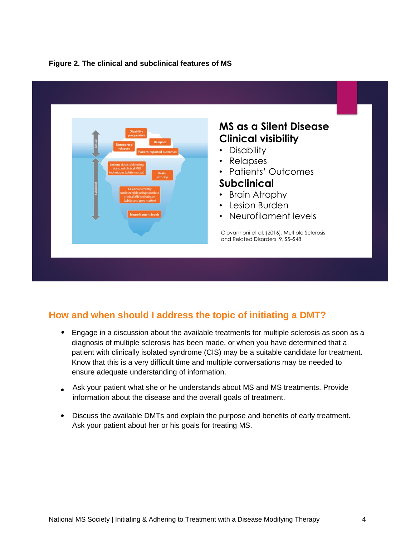#### **Figure 2. The clinical and subclinical features of MS**



# <span id="page-4-0"></span>**How and when should I address the topic of initiating a DMT?**

- Engage in a discussion about the available treatments for multiple sclerosis as soon as a diagnosis of multiple sclerosis has been made, or when you have determined that a patient with clinically isolated syndrome (CIS) may be a suitable candidate for treatment. Know that this is a very difficult time and multiple conversations may be needed to ensure adequate understanding of information.
- Ask your patient what she or he understands about MS and MS treatments. Provide information about the disease and the overall goals of treatment.
- Discuss the available DMTs and explain the purpose and benefits of early treatment. Ask your patient about her or his goals for treating MS.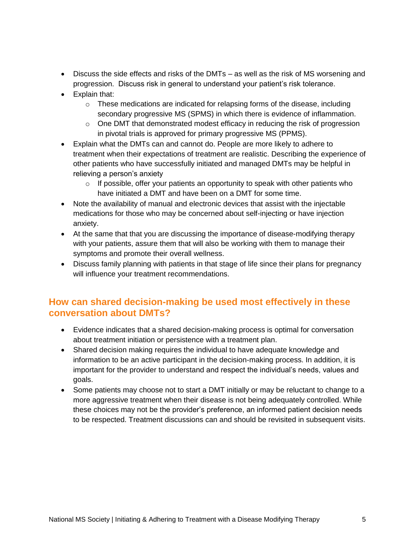- Discuss the side effects and risks of the DMTs as well as the risk of MS worsening and progression. Discuss risk in general to understand your patient's risk tolerance.
- Explain that:
	- $\circ$  These medications are indicated for relapsing forms of the disease, including secondary progressive MS (SPMS) in which there is evidence of inflammation.
	- $\circ$  One DMT that demonstrated modest efficacy in reducing the risk of progression in pivotal trials is approved for primary progressive MS (PPMS).
- Explain what the DMTs can and cannot do. People are more likely to adhere to treatment when their expectations of treatment are realistic. Describing the experience of other patients who have successfully initiated and managed DMTs may be helpful in relieving a person's anxiety
	- $\circ$  If possible, offer your patients an opportunity to speak with other patients who have initiated a DMT and have been on a DMT for some time.
- Note the availability of manual and electronic devices that assist with the injectable medications for those who may be concerned about self-injecting or have injection anxiety.
- At the same that that you are discussing the importance of disease-modifying therapy with your patients, assure them that will also be working with them to manage their symptoms and promote their overall wellness.
- Discuss family planning with patients in that stage of life since their plans for pregnancy will influence your treatment recommendations.

# <span id="page-5-0"></span>**How can shared decision-making be used most effectively in these conversation about DMTs?**

- Evidence indicates that a shared decision-making process is optimal for conversation about treatment initiation or persistence with a treatment plan.
- Shared decision making requires the individual to have adequate knowledge and information to be an active participant in the decision-making process. In addition, it is important for the provider to understand and respect the individual's needs, values and goals.
- <span id="page-5-1"></span>• Some patients may choose not to start a DMT initially or may be reluctant to change to a more aggressive treatment when their disease is not being adequately controlled. While these choices may not be the provider's preference, an informed patient decision needs to be respected. Treatment discussions can and should be revisited in subsequent visits.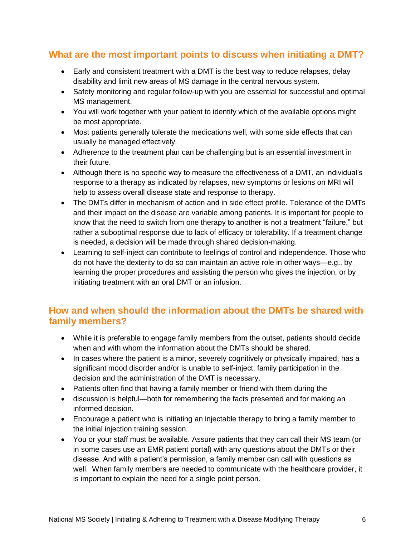# **What are the most important points to discuss when initiating a DMT?**

- Early and consistent treatment with a DMT is the best way to reduce relapses, delay disability and limit new areas of MS damage in the central nervous system.
- Safety monitoring and regular follow-up with you are essential for successful and optimal MS management.
- You will work together with your patient to identify which of the available options might be most appropriate.
- Most patients generally tolerate the medications well, with some side effects that can usually be managed effectively.
- Adherence to the treatment plan can be challenging but is an essential investment in their future.
- Although there is no specific way to measure the effectiveness of a DMT, an individual's response to a therapy as indicated by relapses, new symptoms or lesions on MRI will help to assess overall disease state and response to therapy.
- The DMTs differ in mechanism of action and in side effect profile. Tolerance of the DMTs and their impact on the disease are variable among patients. It is important for people to know that the need to switch from one therapy to another is not a treatment "failure," but rather a suboptimal response due to lack of efficacy or tolerability. If a treatment change is needed, a decision will be made through shared decision-making.
- Learning to self-inject can contribute to feelings of control and independence. Those who do not have the dexterity to do so can maintain an active role in other ways—e.g., by learning the proper procedures and assisting the person who gives the injection, or by initiating treatment with an oral DMT or an infusion.

# <span id="page-6-0"></span>**How and when should the information about the DMTs be shared with family members?**

- While it is preferable to engage family members from the outset, patients should decide when and with whom the information about the DMTs should be shared.
- In cases where the patient is a minor, severely cognitively or physically impaired, has a significant mood disorder and/or is unable to self-inject, family participation in the decision and the administration of the DMT is necessary.
- Patients often find that having a family member or friend with them during the
- discussion is helpful—both for remembering the facts presented and for making an informed decision.
- Encourage a patient who is initiating an injectable therapy to bring a family member to the initial injection training session.
- You or your staff must be available. Assure patients that they can call their MS team (or in some cases use an EMR patient portal) with any questions about the DMTs or their disease. And with a patient's permission, a family member can call with questions as well. When family members are needed to communicate with the healthcare provider, it is important to explain the need for a single point person.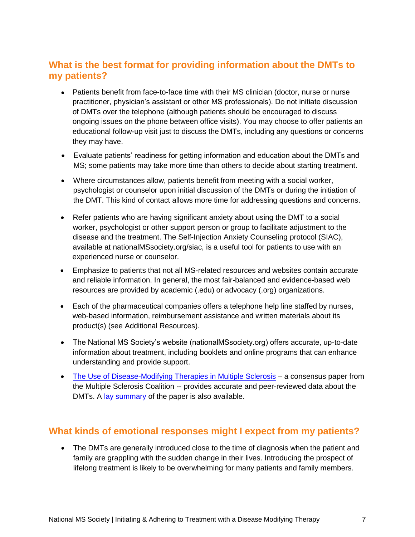# <span id="page-7-0"></span>**What is the best format for providing information about the DMTs to my patients?**

- Patients benefit from face-to-face time with their MS clinician (doctor, nurse or nurse practitioner, physician's assistant or other MS professionals). Do not initiate discussion of DMTs over the telephone (although patients should be encouraged to discuss ongoing issues on the phone between office visits). You may choose to offer patients an educational follow-up visit just to discuss the DMTs, including any questions or concerns they may have.
- Evaluate patients' readiness for getting information and education about the DMTs and MS; some patients may take more time than others to decide about starting treatment.
- Where circumstances allow, patients benefit from meeting with a social worker, psychologist or counselor upon initial discussion of the DMTs or during the initiation of the DMT. This kind of contact allows more time for addressing questions and concerns.
- Refer patients who are having significant anxiety about using the DMT to a social worker, psychologist or other support person or group to facilitate adjustment to the disease and the treatment. The Self-Injection Anxiety Counseling protocol (SIAC), available at nationalMSsociety.org/siac, is a useful tool for patients to use with an experienced nurse or counselor.
- Emphasize [to patients that not all MS-related r](http://www.nationalmssociety.org/siac)esources and websites contain accurate and reliable information. In general, the most fair-balanced and evidence-based web resources are provided by academic (.edu) or advocacy (.org) organizations.
- Each of the pharmaceutical companies offers a telephone help line staffed by nurses, web-based information, reimbursement assistance and written materials about its product(s) (see Additional Resources).
- The National MS Society's website (nationalMSsociety.org) offers accurate, up-to-date information about treatment, including booklets and online programs that can enhance understanding and provide support.
- The Use of Disease-Modifying Therapies in Multiple Sclerosis a consensus paper from [the Multiple Sclerosis Coalition --](http://www.nationalmssociety.org/getmedia/5ca284d3-fc7c-4ba5-b005-ab537d495c3c/DMT_Consensus_MS_Coalition_color) provides accurate and peer-reviewed data about the DMTs. A [lay summary](http://www.nationalmssociety.org/getmedia/1e64b96c-9e55-400e-9a64-0cdf5e2d60fe/summaryDMTpaper_-final) of the paper is also available.

# <span id="page-7-1"></span>**What kinds of emotional responses might I expect from my patients?**

• The DMTs are generally introduced close to the time of diagnosis when the patient and family are grappling with the sudden change in their lives. Introducing the prospect of lifelong treatment is likely to be overwhelming for many patients and family members.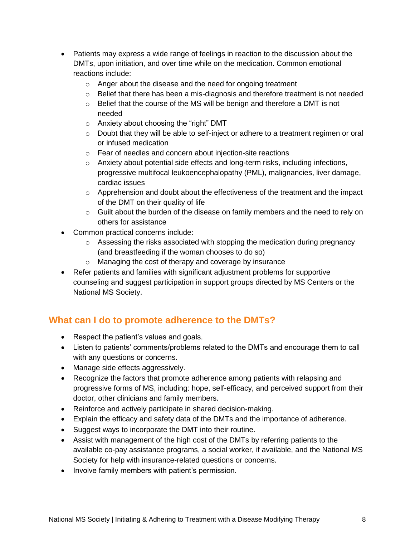- Patients may express a wide range of feelings in reaction to the discussion about the DMTs, upon initiation, and over time while on the medication. Common emotional reactions include:
	- o Anger about the disease and the need for ongoing treatment
	- $\circ$  Belief that there has been a mis-diagnosis and therefore treatment is not needed
	- $\circ$  Belief that the course of the MS will be benign and therefore a DMT is not needed
	- o Anxiety about choosing the "right" DMT
	- o Doubt that they will be able to self-inject or adhere to a treatment regimen or oral or infused medication
	- o Fear of needles and concern about injection-site reactions
	- o Anxiety about potential side effects and long-term risks, including infections, progressive multifocal leukoencephalopathy (PML), malignancies, liver damage, cardiac issues
	- o Apprehension and doubt about the effectiveness of the treatment and the impact of the DMT on their quality of life
	- o Guilt about the burden of the disease on family members and the need to rely on others for assistance
- Common practical concerns include:
	- o Assessing the risks associated with stopping the medication during pregnancy (and breastfeeding if the woman chooses to do so)
	- o Managing the cost of therapy and coverage by insurance
- Refer patients and families with significant adjustment problems for supportive counseling and suggest participation in support groups directed by MS Centers or the National MS Society.

# <span id="page-8-0"></span>**What can I do to promote adherence to the DMTs?**

- Respect the patient's values and goals.
- Listen to patients' comments/problems related to the DMTs and encourage them to call with any questions or concerns.
- Manage side effects aggressively.
- Recognize the factors that promote adherence among patients with relapsing and progressive forms of MS, including: hope, self-efficacy, and perceived support from their doctor, other clinicians and family members.
- Reinforce and actively participate in shared decision-making.
- Explain the efficacy and safety data of the DMTs and the importance of adherence.
- Suggest ways to incorporate the DMT into their routine.
- Assist with management of the high cost of the DMTs by referring patients to the available co-pay assistance programs, a social worker, if available, and the National MS Society for help with insurance-related questions or concerns.
- Involve family members with patient's permission.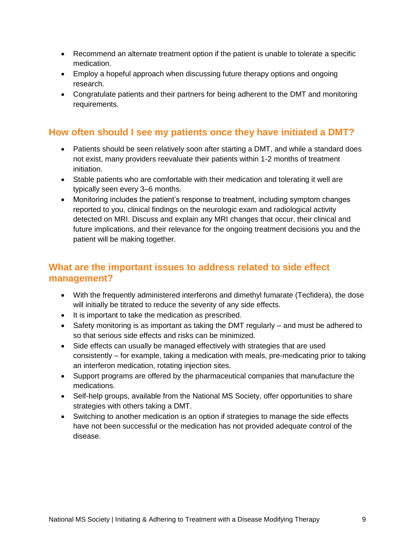- Recommend an alternate treatment option if the patient is unable to tolerate a specific medication.
- Employ a hopeful approach when discussing future therapy options and ongoing research.
- Congratulate patients and their partners for being adherent to the DMT and monitoring requirements.

## <span id="page-9-0"></span>**How often should I see my patients once they have initiated a DMT?**

- Patients should be seen relatively soon after starting a DMT, and while a standard does not exist, many providers reevaluate their patients within 1-2 months of treatment initiation.
- Stable patients who are comfortable with their medication and tolerating it well are typically seen every 3–6 months.
- Monitoring includes the patient's response to treatment, including symptom changes reported to you, clinical findings on the neurologic exam and radiological activity detected on MRI. Discuss and explain any MRI changes that occur, their clinical and future implications, and their relevance for the ongoing treatment decisions you and the patient will be making together.

## <span id="page-9-1"></span>**What are the important issues to address related to side effect management?**

- With the frequently administered interferons and dimethyl fumarate (Tecfidera), the dose will initially be titrated to reduce the severity of any side effects.
- It is important to take the medication as prescribed.
- Safety monitoring is as important as taking the DMT regularly and must be adhered to so that serious side effects and risks can be minimized.
- Side effects can usually be managed effectively with strategies that are used consistently – for example, taking a medication with meals, pre-medicating prior to taking an interferon medication, rotating injection sites.
- Support programs are offered by the pharmaceutical companies that manufacture the medications.
- Self-help groups, available from the National MS Society, offer opportunities to share strategies with others taking a DMT.
- <span id="page-9-2"></span>• Switching to another medication is an option if strategies to manage the side effects have not been successful or the medication has not provided adequate control of the disease.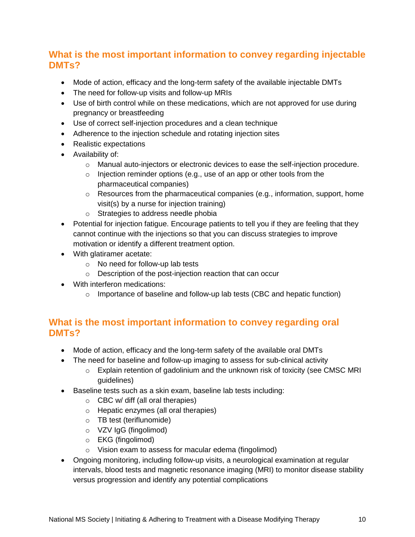# **What is the most important information to convey regarding injectable DMTs?**

- Mode of action, efficacy and the long-term safety of the available injectable DMTs
- The need for follow-up visits and follow-up MRIs
- Use of birth control while on these medications, which are not approved for use during pregnancy or breastfeeding
- Use of correct self-injection procedures and a clean technique
- Adherence to the injection schedule and rotating injection sites
- Realistic expectations
- Availability of:
	- o Manual auto-injectors or electronic devices to ease the self-injection procedure.
	- $\circ$  Injection reminder options (e.g., use of an app or other tools from the pharmaceutical companies)
	- o Resources from the pharmaceutical companies (e.g., information, support, home visit(s) by a nurse for injection training)
	- o Strategies to address needle phobia
- Potential for injection fatigue. Encourage patients to tell you if they are feeling that they cannot continue with the injections so that you can discuss strategies to improve motivation or identify a different treatment option.
- With glatiramer acetate:
	- o No need for follow-up lab tests
	- o Description of the post-injection reaction that can occur
- With interferon medications:
	- $\circ$  Importance of baseline and follow-up lab tests (CBC and hepatic function)

# <span id="page-10-0"></span>**What is the most important information to convey regarding oral DMTs?**

- Mode of action, efficacy and the long-term safety of the available oral DMTs
- The need for baseline and follow-up imaging to assess for sub-clinical activity
	- $\circ$  Explain retention of gadolinium and the unknown risk of toxicity (see CMSC MRI guidelines)
- Baseline tests such as a skin exam, baseline lab tests including:
	- o CBC w/ diff (all oral therapies)
	- o Hepatic enzymes (all oral therapies)
	- o TB test (teriflunomide)
	- o VZV IgG (fingolimod)
	- o EKG (fingolimod)
	- o Vision exam to assess for macular edema (fingolimod)
- Ongoing monitoring, including follow-up visits, a neurological examination at regular intervals, blood tests and magnetic resonance imaging (MRI) to monitor disease stability versus progression and identify any potential complications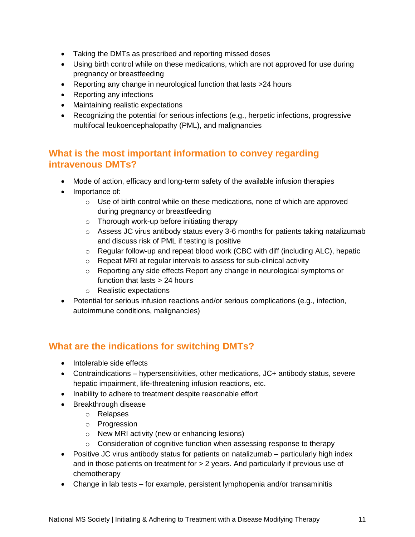- Taking the DMTs as prescribed and reporting missed doses
- Using birth control while on these medications, which are not approved for use during pregnancy or breastfeeding
- Reporting any change in neurological function that lasts >24 hours
- Reporting any infections
- Maintaining realistic expectations
- Recognizing the potential for serious infections (e.g., herpetic infections, progressive multifocal leukoencephalopathy (PML), and malignancies

## <span id="page-11-0"></span>**What is the most important information to convey regarding intravenous DMTs?**

- Mode of action, efficacy and long-term safety of the available infusion therapies
- Importance of:
	- $\circ$  Use of birth control while on these medications, none of which are approved during pregnancy or breastfeeding
	- o Thorough work-up before initiating therapy
	- o Assess JC virus antibody status every 3-6 months for patients taking natalizumab and discuss risk of PML if testing is positive
	- $\circ$  Regular follow-up and repeat blood work (CBC with diff (including ALC), hepatic
	- o Repeat MRI at regular intervals to assess for sub-clinical activity
	- o Reporting any side effects Report any change in neurological symptoms or function that lasts > 24 hours
	- o Realistic expectations
- Potential for serious infusion reactions and/or serious complications (e.g., infection, autoimmune conditions, malignancies)

# <span id="page-11-1"></span>**What are the indications for switching DMTs?**

- Intolerable side effects
- Contraindications hypersensitivities, other medications, JC+ antibody status, severe hepatic impairment, life-threatening infusion reactions, etc.
- Inability to adhere to treatment despite reasonable effort
- Breakthrough disease
	- o Relapses
	- o Progression
	- o New MRI activity (new or enhancing lesions)
	- o Consideration of cognitive function when assessing response to therapy
- Positive JC virus antibody status for patients on natalizumab particularly high index and in those patients on treatment for > 2 years. And particularly if previous use of chemotherapy
- Change in lab tests for example, persistent lymphopenia and/or transaminitis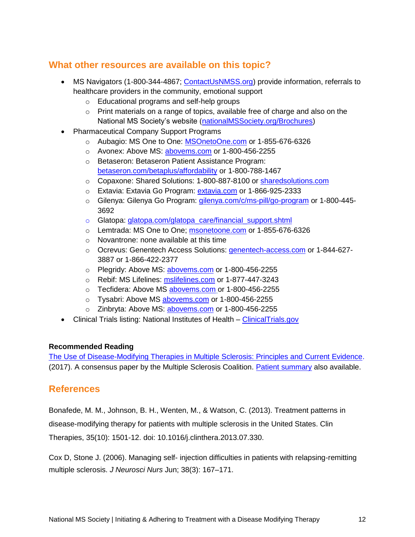# <span id="page-12-0"></span>**What other resources are available on this topic?**

- MS Navigators (1-800-344-4867; [ContactUsNMSS.org\)](mailto:ContactUsNMSS.org) provide information, referrals to healthcare providers in the community, emotional support
	- o Educational programs and self-help groups
	- o Print materials on a range of topics, available free of charge and also on the National MS Society's website [\(nationalMSSociety.org/Brochures\)](http://www.nationalmssociety.org/Brochures)
- Pharmaceutical Company Support Programs
	- o Aubagio: MS One to One: [MSOnetoOne.com](http://www.msonetoone.com/) or 1-855-676-6326
	- o Avonex: Above MS: [abovems.com](http://www.abovems.com/) or 1-800-456-2255
	- o Betaseron: Betaseron Patient Assistance Program: [betaseron.com/betaplus/affordability](http://www.betaseron.com/betaplus/affordability%20or%201-800-788-1467) or 1-800-788-1467
	- o Copaxone: Shared Solutions: 1-800-887-8100 or [sharedsolutions.com](http://www.sharedsolutions.com/)
	- o Extavia: Extavia Go Program: [extavia.com](http://www.extavia.com/) or 1-866-925-2333
	- o Gilenya: Gilenya Go Program: [gilenya.com/c/ms-pill/go-program](http://www.gilenya.com/c/ms-pill/go-program%20or%201-800-445-3692) or 1-800-445-[3692](http://www.gilenya.com/c/ms-pill/go-program%20or%201-800-445-3692)
	- o Glatopa: glatopa.com/glatopa care/financial support.shtml
	- o Lemtrada: MS One to One; [msonetoone.com](http://www.msonetoone.com/) or 1-855-676-6326
	- o Novantrone: none available at this time
	- o Ocrevus: Genentech Access Solutions: [genentech-access.com](http://www.genentech-access.com/) or 1-844-627-3887 or 1-866-422-2377
	- o Plegridy: Above MS: [abovems.com](http://www.abovems.com/) or 1-800-456-2255
	- o Rebif: MS Lifelines: [mslifelines.com](http://www.mslifelines.com/) or 1-877-447-3243
	- o Tecfidera: Above MS [abovems.com](http://www.abovems.com/) or 1-800-456-2255
	- o Tysabri: Above MS abovems.com or 1-800-456-2255
	- o Zinbryta: Above MS: [abovems.com](http://www.abovems.com/) or 1-800-456-2255
- Clinical Trials listing: National Institutes of Health ClinicalTrials.gov

#### **Recommended Reading**

[The Use of Disease-Modifying Therapies in Multiple Sclerosis: Principles and Current Evidence.](http://www.nationalmssociety.org/getmedia/5ca284d3-fc7c-4ba5-b005-ab537d495c3c/DMT_Consensus_MS_Coalition_color) (2017). A consensus paper by the Multiple Sclerosis Coalition. [Patient summary](http://www.nationalmssociety.org/getmedia/5ca284d3-fc7c-4ba5-b005-ab537d495c3c/DMT_Consensus_MS_Coalition_color) also available.

#### <span id="page-12-1"></span>**References**

Bonafede, M. M., Johnson, B. H., Wenten, M., & Watson, C. (2013). Treatment patterns in disease-modifying therapy for patients with multiple sclerosis in the United States. Clin Therapies, 35(10): 1501-12. doi: 10.1016/j.clinthera.2013.07.330.

Cox D, Stone J. (2006). Managing self- injection difficulties in patients with relapsing-remitting multiple sclerosis. *J Neurosci Nurs* Jun; 38(3): 167–171.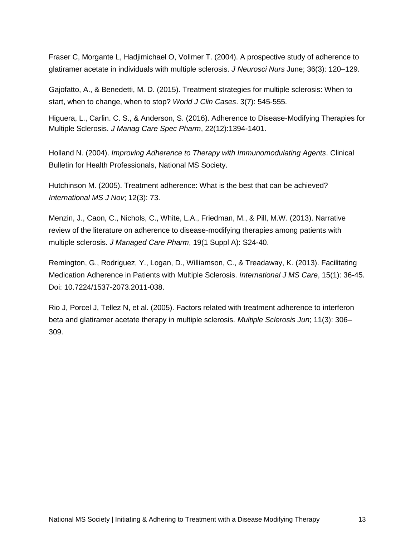Fraser C, Morgante L, Hadjimichael O, Vollmer T. (2004). A prospective study of adherence to glatiramer acetate in individuals with multiple sclerosis. *J Neurosci Nurs* June; 36(3): 120–129.

Gajofatto, A., & Benedetti, M. D. (2015). Treatment strategies for multiple sclerosis: When to start, when to change, when to stop? *World J Clin Cases*. 3(7): 545-555.

Higuera, L., Carlin. C. S., & Anderson, S. (2016). Adherence to Disease-Modifying Therapies for Multiple Sclerosis. *J Manag Care Spec Pharm*, 22(12):1394-1401.

Holland N. (2004). *Improving Adherence to Therapy with Immunomodulating Agents*. Clinical Bulletin for Health Professionals, National MS Society.

Hutchinson M. (2005). Treatment adherence: What is the best that can be achieved? *International MS J Nov*; 12(3): 73.

Menzin, J., Caon, C., Nichols, C., White, L.A., Friedman, M., & Pill, M.W. (2013). Narrative review of the literature on adherence to disease-modifying therapies among patients with multiple sclerosis. *J Managed Care Pharm*, 19(1 Suppl A): S24-40.

Remington, G., Rodriguez, Y., Logan, D., Williamson, C., & Treadaway, K. (2013). Facilitating Medication Adherence in Patients with Multiple Sclerosis. *International J MS Care*, 15(1): 36-45. Doi: 10.7224/1537-2073.2011-038.

<span id="page-13-0"></span>Rio J, Porcel J, Tellez N, et al. (2005). Factors related with treatment adherence to interferon beta and glatiramer acetate therapy in multiple sclerosis. *Multiple Sclerosis Jun*; 11(3): 306– 309.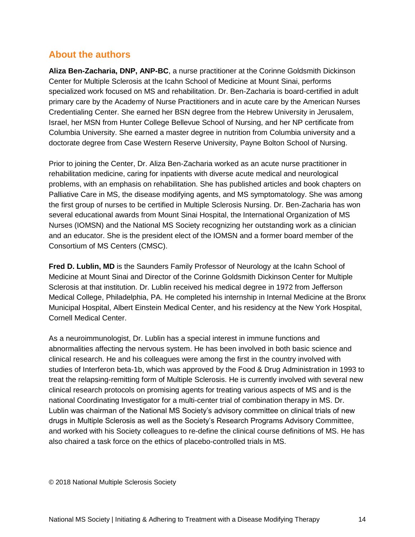# **About the authors**

**Aliza Ben-Zacharia, DNP, ANP-BC**, a nurse practitioner at the Corinne Goldsmith Dickinson Center for Multiple Sclerosis at the Icahn School of Medicine at Mount Sinai, performs specialized work focused on MS and rehabilitation. Dr. Ben-Zacharia is board-certified in adult primary care by the Academy of Nurse Practitioners and in acute care by the American Nurses Credentialing Center. She earned her BSN degree from the Hebrew University in Jerusalem, Israel, her MSN from Hunter College Bellevue School of Nursing, and her NP certificate from Columbia University. She earned a master degree in nutrition from Columbia university and a doctorate degree from Case Western Reserve University, Payne Bolton School of Nursing.

Prior to joining the Center, Dr. Aliza Ben-Zacharia worked as an acute nurse practitioner in rehabilitation medicine, caring for inpatients with diverse acute medical and neurological problems, with an emphasis on rehabilitation. She has published articles and book chapters on Palliative Care in MS, the disease modifying agents, and MS symptomatology. She was among the first group of nurses to be certified in Multiple Sclerosis Nursing. Dr. Ben-Zacharia has won several educational awards from Mount Sinai Hospital, the International Organization of MS Nurses (IOMSN) and the National MS Society recognizing her outstanding work as a clinician and an educator. She is the president elect of the IOMSN and a former board member of the Consortium of MS Centers (CMSC).

**Fred D. Lublin, MD** is the Saunders Family Professor of Neurology at the Icahn School of Medicine at Mount Sinai and Director of the Corinne Goldsmith Dickinson Center for Multiple Sclerosis at that institution. Dr. Lublin received his medical degree in 1972 from Jefferson Medical College, Philadelphia, PA. He completed his internship in Internal Medicine at the Bronx Municipal Hospital, Albert Einstein Medical Center, and his residency at the New York Hospital, Cornell Medical Center.

As a neuroimmunologist, Dr. Lublin has a special interest in immune functions and abnormalities affecting the nervous system. He has been involved in both basic science and clinical research. He and his colleagues were among the first in the country involved with studies of Interferon beta-1b, which was approved by the Food & Drug Administration in 1993 to treat the relapsing-remitting form of Multiple Sclerosis. He is currently involved with several new clinical research protocols on promising agents for treating various aspects of MS and is the national Coordinating Investigator for a multi-center trial of combination therapy in MS. Dr. Lublin was chairman of the National MS Society's advisory committee on clinical trials of new drugs in Multiple Sclerosis as well as the Society's Research Programs Advisory Committee, and worked with his Society colleagues to re-define the clinical course definitions of MS. He has also chaired a task force on the ethics of placebo-controlled trials in MS.

© 2018 National Multiple Sclerosis Society